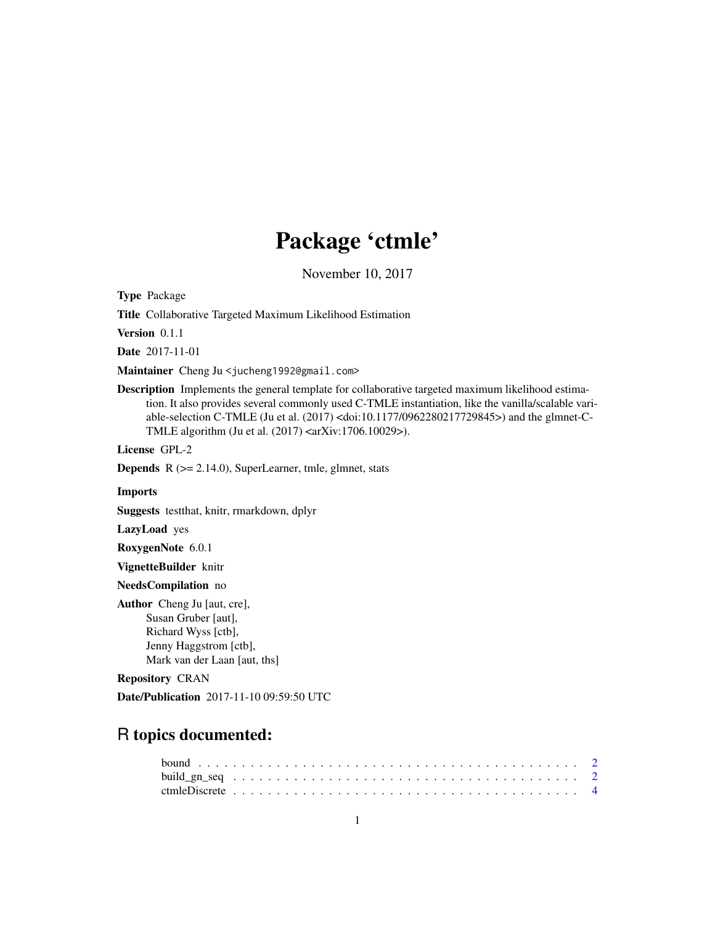# Package 'ctmle'

November 10, 2017

Type Package

Title Collaborative Targeted Maximum Likelihood Estimation

Version 0.1.1

Date 2017-11-01

Maintainer Cheng Ju <jucheng1992@gmail.com>

Description Implements the general template for collaborative targeted maximum likelihood estimation. It also provides several commonly used C-TMLE instantiation, like the vanilla/scalable variable-selection C-TMLE (Ju et al. (2017) <doi:10.1177/0962280217729845>) and the glmnet-C-TMLE algorithm (Ju et al. (2017) <arXiv:1706.10029>).

License GPL-2

Depends R (>= 2.14.0), SuperLearner, tmle, glmnet, stats

#### Imports

Suggests testthat, knitr, rmarkdown, dplyr

LazyLoad yes

RoxygenNote 6.0.1

VignetteBuilder knitr

#### NeedsCompilation no

Author Cheng Ju [aut, cre], Susan Gruber [aut], Richard Wyss [ctb], Jenny Haggstrom [ctb], Mark van der Laan [aut, ths]

#### Repository CRAN

Date/Publication 2017-11-10 09:59:50 UTC

# R topics documented: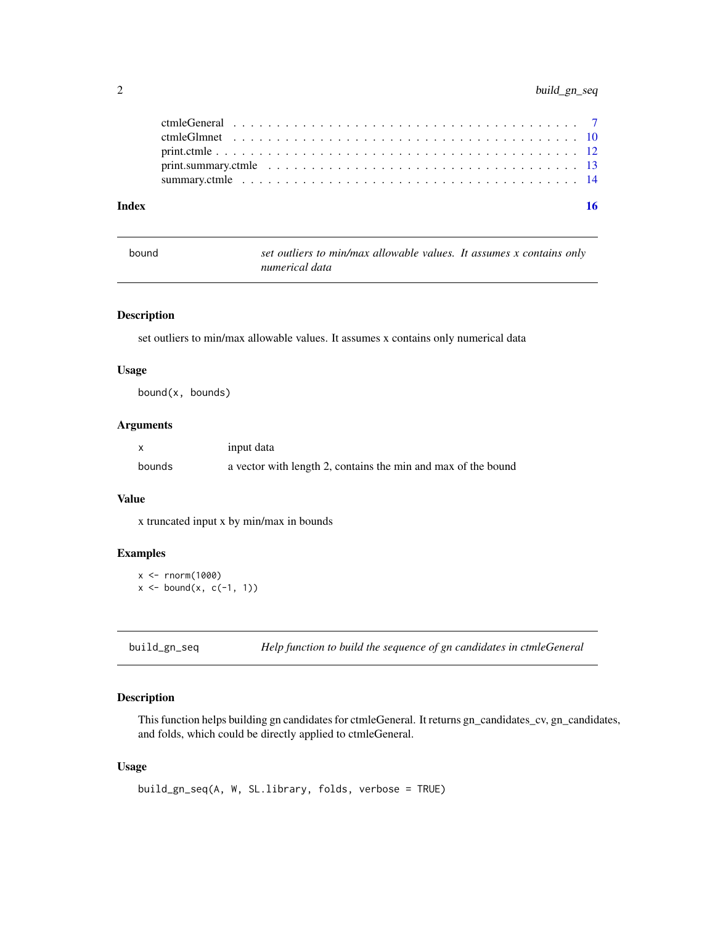<span id="page-1-0"></span>

| Index |  |
|-------|--|
|       |  |
|       |  |
|       |  |
|       |  |
|       |  |

| bound | set outliers to min/max allowable values. It assumes x contains only |  |
|-------|----------------------------------------------------------------------|--|
|       | numerical data                                                       |  |

# Description

set outliers to min/max allowable values. It assumes x contains only numerical data

#### Usage

bound(x, bounds)

# Arguments

|        | input data                                                    |
|--------|---------------------------------------------------------------|
| bounds | a vector with length 2, contains the min and max of the bound |

### Value

x truncated input x by min/max in bounds

# Examples

```
x < - rnorm(1000)
x \le - bound(x, c(-1, 1))
```
build\_gn\_seq *Help function to build the sequence of gn candidates in ctmleGeneral*

# Description

This function helps building gn candidates for ctmleGeneral. It returns gn\_candidates\_cv, gn\_candidates, and folds, which could be directly applied to ctmleGeneral.

# Usage

```
build_gn_seq(A, W, SL.library, folds, verbose = TRUE)
```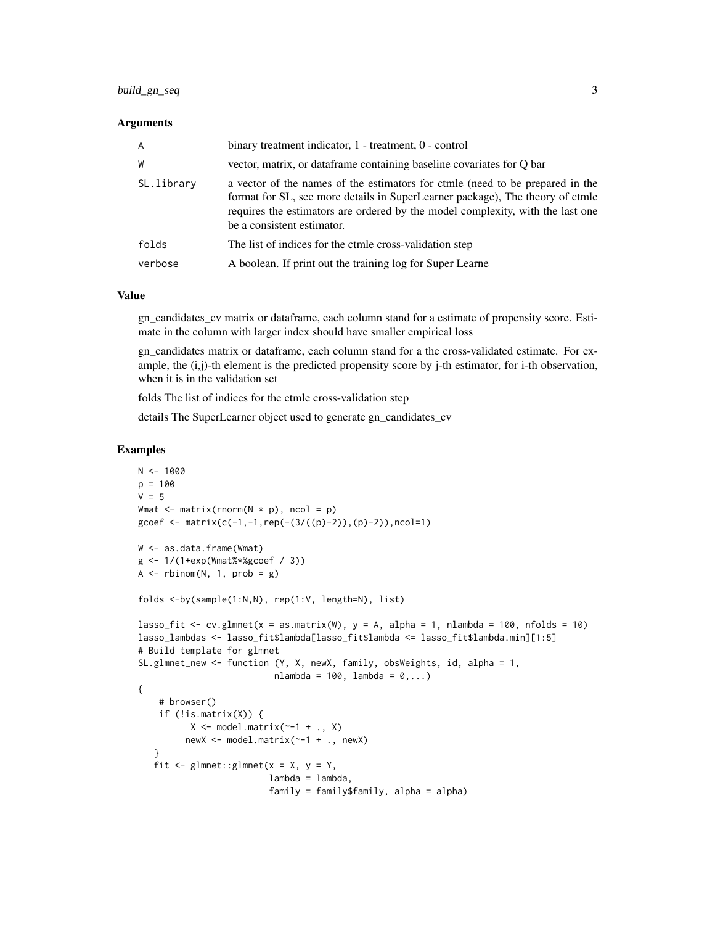#### Arguments

| A          | binary treatment indicator, 1 - treatment, 0 - control                                                                                                                                                                                                                         |
|------------|--------------------------------------------------------------------------------------------------------------------------------------------------------------------------------------------------------------------------------------------------------------------------------|
| W          | vector, matrix, or dataframe containing baseline covariates for O bar                                                                                                                                                                                                          |
| SL.library | a vector of the names of the estimators for ctmle (need to be prepared in the<br>format for SL, see more details in SuperLearner package), The theory of ctmle<br>requires the estimators are ordered by the model complexity, with the last one<br>be a consistent estimator. |
| folds      | The list of indices for the ctmle cross-validation step                                                                                                                                                                                                                        |
| verbose    | A boolean. If print out the training log for Super Learne                                                                                                                                                                                                                      |

#### Value

gn\_candidates\_cv matrix or dataframe, each column stand for a estimate of propensity score. Estimate in the column with larger index should have smaller empirical loss

gn\_candidates matrix or dataframe, each column stand for a the cross-validated estimate. For example, the (i,j)-th element is the predicted propensity score by j-th estimator, for i-th observation, when it is in the validation set

folds The list of indices for the ctmle cross-validation step

details The SuperLearner object used to generate gn\_candidates\_cv

```
N < - 1000p = 100V = 5Wmat \leq matrix(rnorm(N \neq p), ncol = p)
gcoef <- matrix(c(-1,-1,rep(-(3/((p)-2)),(p)-2)),ncol=1)
W <- as.data.frame(Wmat)
g <- 1/(1+exp(Wmat%*%gcoef / 3))
A \leq -rbinom(N, 1, prob = g)folds <-by(sample(1:N,N), rep(1:V, length=N), list)
lasso_fit <- cv.glmnet(x = as.matrix(W), y = A, alpha = 1, nlambda = 100, nfolds = 10)
lasso_lambdas <- lasso_fit$lambda[lasso_fit$lambda <= lasso_fit$lambda.min][1:5]
# Build template for glmnet
SL.glmnet_new <- function (Y, X, newX, family, obsWeights, id, alpha = 1,
                          nlambda = 100, lambda = 0, \ldots)
{
    # browser()
    if (!is.mathrix(X)) {
          X \leq model.matrix(\sim-1 + ., X)
         newX <- model.matrix(~-1 + ., newX)
   }
   fit \leq glmnet::glmnet(x = X, y = Y,
                         lambda = lambda,
                         family = family$family, alpha = alpha)
```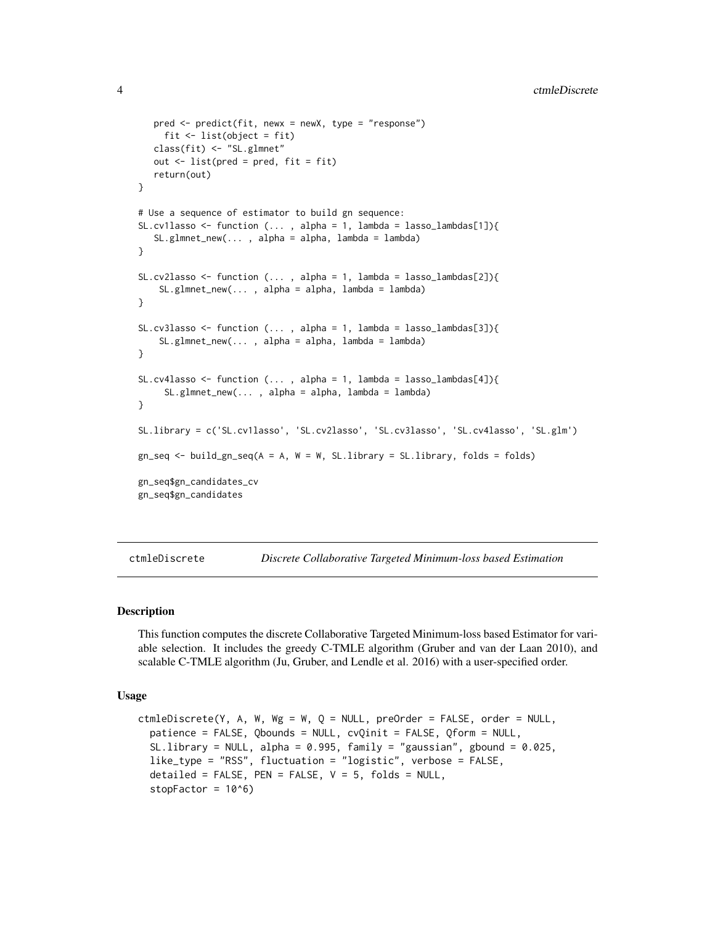```
pred <- predict(fit, newx = newX, type = "response")
    fit \le list(object = fit)
  class(fit) <- "SL.glmnet"
  out \le list(pred = pred, fit = fit)
  return(out)
}
# Use a sequence of estimator to build gn sequence:
SL.cv1lasso <- function (..., alpha = 1, lambda = lasso_lambdas[1]){
   SL.glmnet_new(..., alpha = alpha, lambda = lambda)}
SL.cv2lasso <- function (..., alpha = 1, lambda = lasso_lambdas[2]){
    SL.glmnet_new(..., alpha = alpha, lambda = lambda)}
SL.cv3lasso <- function (..., alpha = 1, lambda = lasso_lambdas[3]){
    SL.glmnet_new(... , alpha = alpha, lambda = lambda)
}
SL.cv4lasso <- function (..., alpha = 1, lambda = lasso_lambdas[4]){
     SL.glmnet_new(..., alpha = alpha, lambda = lambda)}
SL.library = c('SL.cv1lasso', 'SL.cv2lasso', 'SL.cv3lasso', 'SL.cv4lasso', 'SL.glm')
gn\_seq \leftarrow build\_gn\_seq(A = A, W = W, SL.library = SL.library, folds = folds)gn_seq$gn_candidates_cv
gn_seq$gn_candidates
```
ctmleDiscrete *Discrete Collaborative Targeted Minimum-loss based Estimation*

#### Description

This function computes the discrete Collaborative Targeted Minimum-loss based Estimator for variable selection. It includes the greedy C-TMLE algorithm (Gruber and van der Laan 2010), and scalable C-TMLE algorithm (Ju, Gruber, and Lendle et al. 2016) with a user-specified order.

#### Usage

```
ctmleDiscrete(Y, A, W, Wg = W, Q = NULL, preOrder = FALSE, order = NULL,
  patience = FALSE, Qbounds = NULL, cvQinit = FALSE, Qform = NULL,
  SL.library = NULL, alpha = 0.995, family = "gaussian", gbound = 0.025,
  like_type = "RSS", fluctuation = "logistic", verbose = FALSE,
  detailed = FALSE, PEN = FALSE, V = 5, folds = NULL,stopFactor = 10^6)
```
<span id="page-3-0"></span>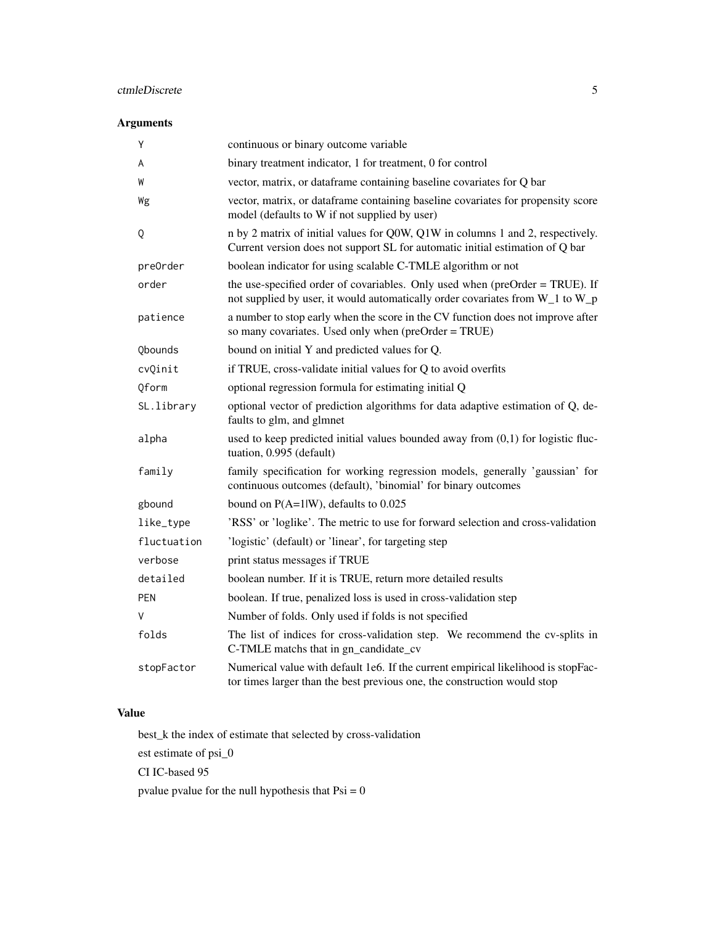# ctmleDiscrete 5

# Arguments

| Y           | continuous or binary outcome variable                                                                                                                           |
|-------------|-----------------------------------------------------------------------------------------------------------------------------------------------------------------|
| A           | binary treatment indicator, 1 for treatment, 0 for control                                                                                                      |
| W           | vector, matrix, or dataframe containing baseline covariates for Q bar                                                                                           |
| Wg          | vector, matrix, or dataframe containing baseline covariates for propensity score<br>model (defaults to W if not supplied by user)                               |
| Q           | n by 2 matrix of initial values for Q0W, Q1W in columns 1 and 2, respectively.<br>Current version does not support SL for automatic initial estimation of Q bar |
| preOrder    | boolean indicator for using scalable C-TMLE algorithm or not                                                                                                    |
| order       | the use-specified order of covariables. Only used when (preOrder = TRUE). If<br>not supplied by user, it would automatically order covariates from W_1 to W_p   |
| patience    | a number to stop early when the score in the CV function does not improve after<br>so many covariates. Used only when (preOrder = TRUE)                         |
| Qbounds     | bound on initial Y and predicted values for Q.                                                                                                                  |
| cvQinit     | if TRUE, cross-validate initial values for Q to avoid overfits                                                                                                  |
| Oform       | optional regression formula for estimating initial Q                                                                                                            |
| SL.library  | optional vector of prediction algorithms for data adaptive estimation of Q, de-<br>faults to glm, and glmnet                                                    |
| alpha       | used to keep predicted initial values bounded away from $(0,1)$ for logistic fluc-<br>tuation, 0.995 (default)                                                  |
| family      | family specification for working regression models, generally 'gaussian' for<br>continuous outcomes (default), 'binomial' for binary outcomes                   |
| gbound      | bound on $P(A=1 W)$ , defaults to 0.025                                                                                                                         |
| like_type   | 'RSS' or 'loglike'. The metric to use for forward selection and cross-validation                                                                                |
| fluctuation | 'logistic' (default) or 'linear', for targeting step                                                                                                            |
| verbose     | print status messages if TRUE                                                                                                                                   |
| detailed    | boolean number. If it is TRUE, return more detailed results                                                                                                     |
| <b>PEN</b>  | boolean. If true, penalized loss is used in cross-validation step                                                                                               |
| V           | Number of folds. Only used if folds is not specified                                                                                                            |
| folds       | The list of indices for cross-validation step. We recommend the cv-splits in<br>C-TMLE matchs that in gn_candidate_cv                                           |
| stopFactor  | Numerical value with default 1e6. If the current empirical likelihood is stopFac-<br>tor times larger than the best previous one, the construction would stop   |

# Value

best\_k the index of estimate that selected by cross-validation

est estimate of psi\_0

CI IC-based 95

pvalue pvalue for the null hypothesis that  $Psi = 0$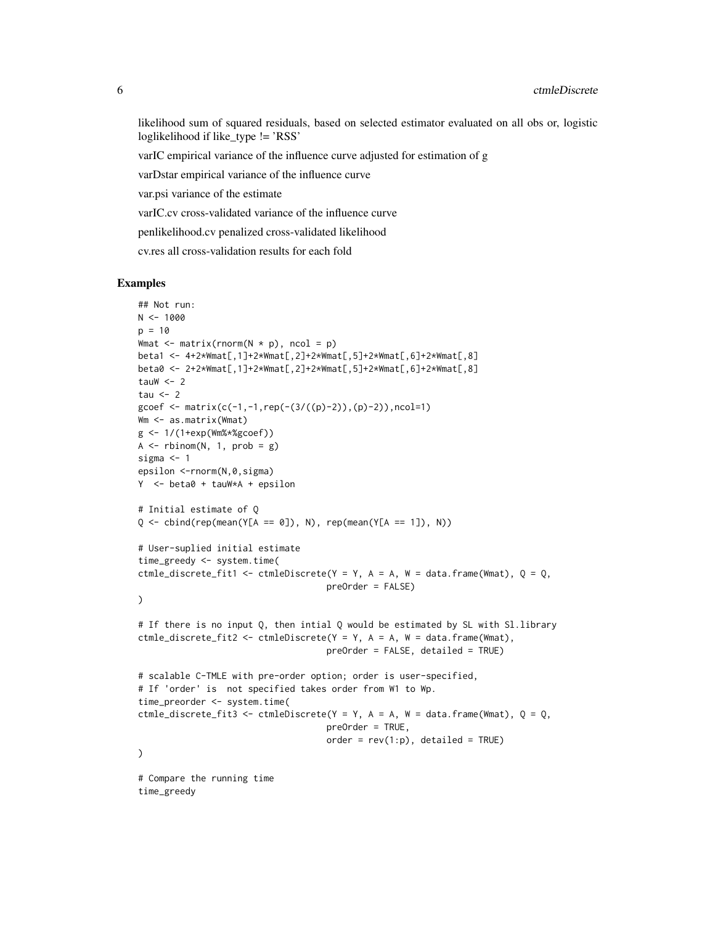likelihood sum of squared residuals, based on selected estimator evaluated on all obs or, logistic loglikelihood if like type != 'RSS'

varIC empirical variance of the influence curve adjusted for estimation of g

varDstar empirical variance of the influence curve

var.psi variance of the estimate

varIC.cv cross-validated variance of the influence curve

penlikelihood.cv penalized cross-validated likelihood

cv.res all cross-validation results for each fold

```
## Not run:
N < - 1000p = 10Wmat \leq matrix(rnorm(N \star p), ncol = p)
beta1 <- 4+2*Wmat[,1]+2*Wmat[,2]+2*Wmat[,5]+2*Wmat[,6]+2*Wmat[,8]
beta0 <- 2+2*Wmat[,1]+2*Wmat[,2]+2*Wmat[,5]+2*Wmat[,6]+2*Wmat[,8]
tauW <-2tau \leq -2gcoef <- matrix(c(-1, -1, rep(-(3/((p)-2)), (p)-2)),ncol=1)Wm <- as.matrix(Wmat)
g <- 1/(1+exp(Wm%*%gcoef))
A \leftarrow \text{rbinom}(N, 1, \text{prob} = g)sigma <-1epsilon <-rnorm(N,0,sigma)
Y <- beta0 + tauW*A + epsilon
# Initial estimate of Q
Q \le - \text{cbind}(\text{rep}(\text{mean}(Y[A == 0]), N), \text{rep}(\text{mean}(Y[A == 1]), N))# User-suplied initial estimate
time_greedy <- system.time(
ctmle_discrete_fit1 <- ctmleDiscrete(Y = Y, A = A, W = data.frame(Wmat), Q = Q,
                                      preOrder = FALSE)
\lambda# If there is no input Q, then intial Q would be estimated by SL with Sl.library
ctmle_discrete_fit2 <- ctmleDiscrete(Y = Y, A = A, W = data.frame(Wmat),
                                      preOrder = FALSE, detailed = TRUE)
# scalable C-TMLE with pre-order option; order is user-specified,
# If 'order' is not specified takes order from W1 to Wp.
time_preorder <- system.time(
ctmle_discrete_fit3 <- ctmleDiscrete(Y = Y, A = A, W = data.frame(Wmat), Q = Q,
                                      preOrder = TRUE,
                                      order = rev(1:p), detailed = TRUE)
\lambda# Compare the running time
time_greedy
```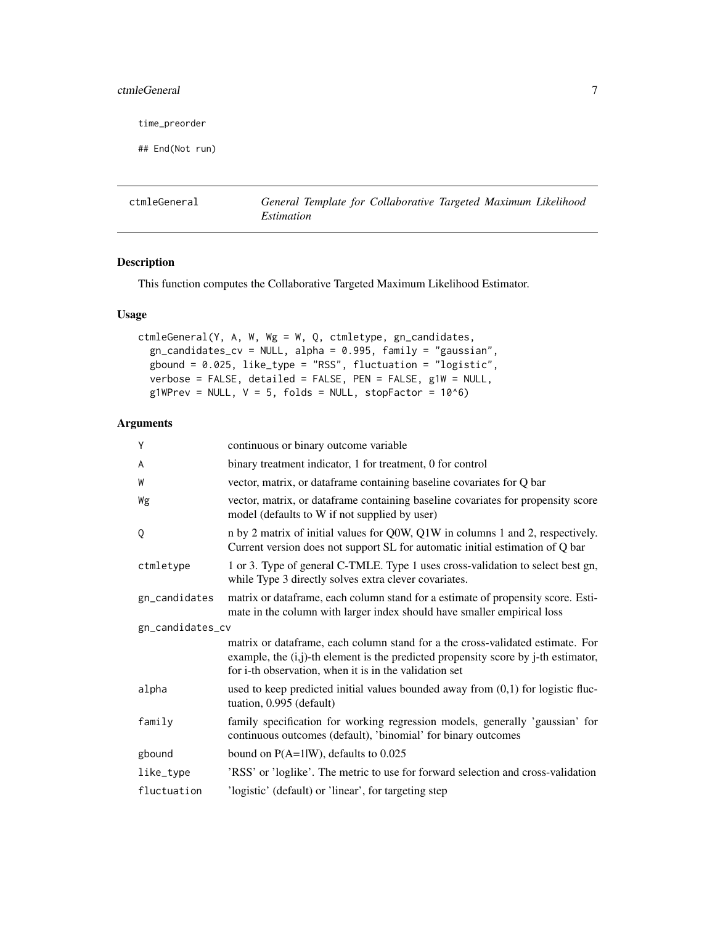# <span id="page-6-0"></span>ctmleGeneral 7 and 7 and 7 and 7 and 7 and 7 and 7 and 7 and 7 and 7 and 7 and 7 and 7 and 7 and 7 and 7 and 7 and 7 and 7 and 7 and 7 and 7 and 7 and 7 and 7 and 7 and 7 and 7 and 7 and 7 and 7 and 7 and 7 and 7 and 7 and

time\_preorder

## End(Not run)

ctmleGeneral *General Template for Collaborative Targeted Maximum Likelihood Estimation*

# Description

This function computes the Collaborative Targeted Maximum Likelihood Estimator.

# Usage

```
ctmleGeneral(Y, A, W, Wg = W, Q, ctmletype, gn_candidates,
 gn\_candidates\_cv = NULL, alpha = 0.995, family = "gaussian",
  gbound = 0.025, like_type = "RSS", fluctuation = "logistic",
  verbose = FALSE, detailed = FALSE, PEN = FALSE, g1W = NULL,
 g1WPrev = NULL, V = 5, folds = NULL, stopFactor = 10^6)
```
# Arguments

| Y                | continuous or binary outcome variable                                                                                                                                                                                             |
|------------------|-----------------------------------------------------------------------------------------------------------------------------------------------------------------------------------------------------------------------------------|
| A                | binary treatment indicator, 1 for treatment, 0 for control                                                                                                                                                                        |
| W                | vector, matrix, or dataframe containing baseline covariates for Q bar                                                                                                                                                             |
| Wg               | vector, matrix, or dataframe containing baseline covariates for propensity score<br>model (defaults to W if not supplied by user)                                                                                                 |
| Q                | n by 2 matrix of initial values for Q0W, Q1W in columns 1 and 2, respectively.<br>Current version does not support SL for automatic initial estimation of Q bar                                                                   |
| ctmletype        | 1 or 3. Type of general C-TMLE. Type 1 uses cross-validation to select best gn,<br>while Type 3 directly solves extra clever covariates.                                                                                          |
| gn_candidates    | matrix or dataframe, each column stand for a estimate of propensity score. Esti-<br>mate in the column with larger index should have smaller empirical loss                                                                       |
| gn_candidates_cv |                                                                                                                                                                                                                                   |
|                  | matrix or dataframe, each column stand for a the cross-validated estimate. For<br>example, the $(i,j)$ -th element is the predicted propensity score by j-th estimator,<br>for i-th observation, when it is in the validation set |
| alpha            | used to keep predicted initial values bounded away from $(0,1)$ for logistic fluc-<br>tuation, 0.995 (default)                                                                                                                    |
| family           | family specification for working regression models, generally 'gaussian' for<br>continuous outcomes (default), 'binomial' for binary outcomes                                                                                     |
| gbound           | bound on $P(A=1 W)$ , defaults to 0.025                                                                                                                                                                                           |
| like_type        | 'RSS' or 'loglike'. The metric to use for forward selection and cross-validation                                                                                                                                                  |
| fluctuation      | 'logistic' (default) or 'linear', for targeting step                                                                                                                                                                              |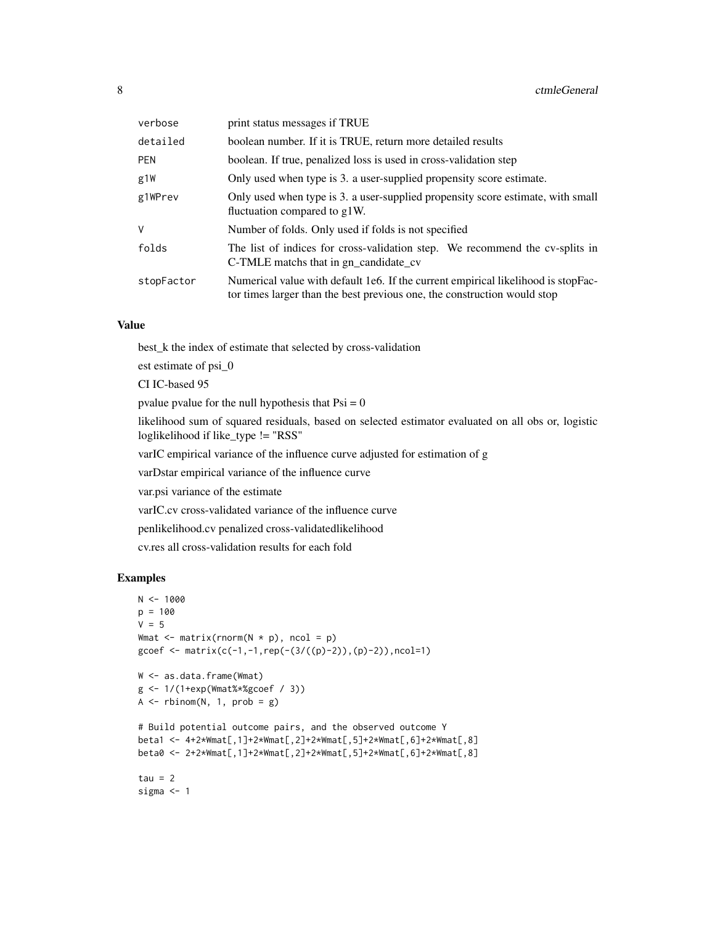| verbose    | print status messages if TRUE                                                                                                                                 |
|------------|---------------------------------------------------------------------------------------------------------------------------------------------------------------|
| detailed   | boolean number. If it is TRUE, return more detailed results                                                                                                   |
| <b>PEN</b> | boolean. If true, penalized loss is used in cross-validation step                                                                                             |
| g1W        | Only used when type is 3. a user-supplied propensity score estimate.                                                                                          |
| g1WPrev    | Only used when type is 3. a user-supplied propensity score estimate, with small<br>fluctuation compared to g1W.                                               |
| V          | Number of folds. Only used if folds is not specified                                                                                                          |
| folds      | The list of indices for cross-validation step. We recommend the cv-splits in<br>C-TMLE matchs that in gn_candidate_cv                                         |
| stopFactor | Numerical value with default 1e6. If the current empirical likelihood is stopFac-<br>tor times larger than the best previous one, the construction would stop |

#### Value

best\_k the index of estimate that selected by cross-validation

est estimate of psi\_0

CI IC-based 95

pvalue pvalue for the null hypothesis that  $Psi = 0$ 

likelihood sum of squared residuals, based on selected estimator evaluated on all obs or, logistic loglikelihood if like\_type != "RSS"

varIC empirical variance of the influence curve adjusted for estimation of g

varDstar empirical variance of the influence curve

var.psi variance of the estimate

varIC.cv cross-validated variance of the influence curve

penlikelihood.cv penalized cross-validatedlikelihood

cv.res all cross-validation results for each fold

```
N < - 1000p = 100
V = 5Wmat \leq matrix(rnorm(N * p), ncol = p)
gcoef \leq matrix(c(-1,-1,rep(-(3/((p)-2)),(p)-2)),ncol=1)
W <- as.data.frame(Wmat)
g <- 1/(1+exp(Wmat%*%gcoef / 3))
A \leq -rbinom(N, 1, prob = g)# Build potential outcome pairs, and the observed outcome Y
beta1 <- 4+2*Wmat[,1]+2*Wmat[,2]+2*Wmat[,5]+2*Wmat[,6]+2*Wmat[,8]
beta0 <- 2+2*Wmat[,1]+2*Wmat[,2]+2*Wmat[,5]+2*Wmat[,6]+2*Wmat[,8]
tau = 2sigma <- 1
```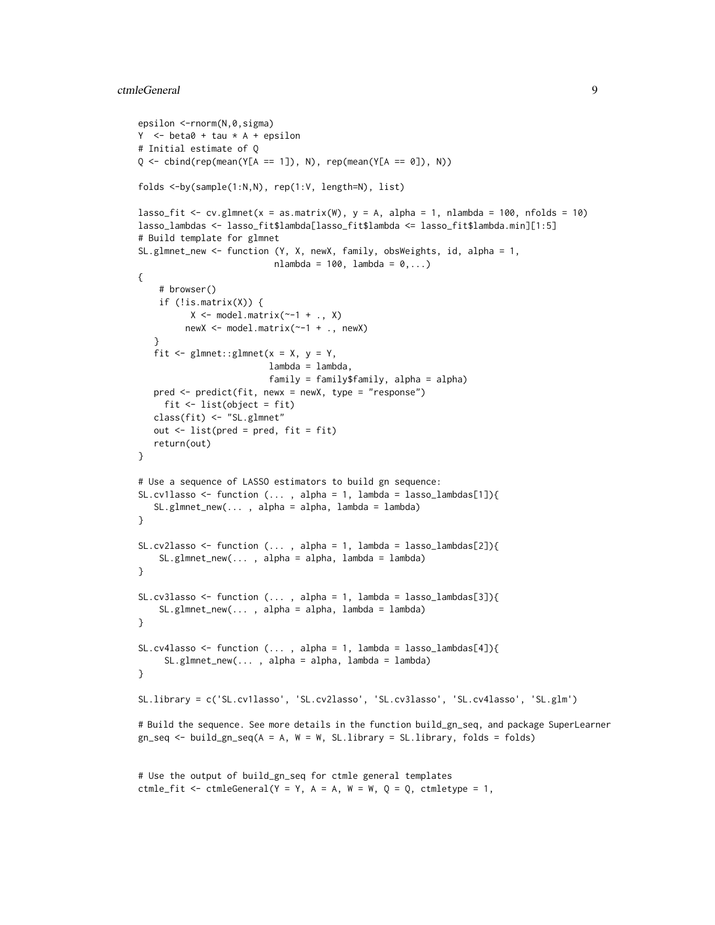#### ctmleGeneral 9

```
epsilon <-rnorm(N,0,sigma)
Y \le - beta\theta + tau * A + epsilon
# Initial estimate of Q
Q \le - \text{cbind}(\text{rep}(\text{mean}(Y[A == 1]), N), \text{rep}(\text{mean}(Y[A == 0]), N))folds <-by(sample(1:N,N), rep(1:V, length=N), list)
lasso_fit <- cv.glmnet(x = as.matrix(W), y = A, alpha = 1, nlambda = 100, nfolds = 10)
lasso_lambdas <- lasso_fit$lambda[lasso_fit$lambda <= lasso_fit$lambda.min][1:5]
# Build template for glmnet
SL.glmnet_new <- function (Y, X, newX, family, obsWeights, id, alpha = 1,
                           nlambda = 100, lambda = 0, \ldots)
{
    # browser()
    if (!is.mathix(X)) {
          X \leftarrow \text{model.matrix}(\sim-1 + ., X)newX <- model.matrix(~-1 + ., newX)
   }
   fit <- glmnet::glmnet(x = X, y = Y,
                         lambda = lambda,
                          family = family$family, alpha = alpha)
  pred <- predict(fit, newx = newX, type = "response")
    fit <- list(object = fit)
  class(fit) <- "SL.glmnet"
  out <- list(pred = pred, fit = fit)
   return(out)
}
# Use a sequence of LASSO estimators to build gn sequence:
SL.cv1lasso <- function (..., alpha = 1, lambda = lasso_lambdas[1]){
  SL.glmnet_new(..., alpha = alpha, lambda = lambda)}
SL.cv2lasso <- function (... , alpha = 1, lambda = lasso_lambdas[2]){
    SL.glmnet_new(..., alpha = alpha, lambda = lambda)}
SL.cv3lasso <- function (..., alpha = 1, lambda = lasso_lambdas[3]){
    SL.glmnet_new(..., alpha = alpha, lambda = lambda)}
SL.cv4lasso <- function (..., alpha = 1, lambda = lasso_lambdas[4]){
     SL.glmnet_new(..., alpha = alpha, lambda = lambda)}
SL.library = c('SL.cv1lasso', 'SL.cv2lasso', 'SL.cv3lasso', 'SL.cv4lasso', 'SL.glm')
# Build the sequence. See more details in the function build_gn_seq, and package SuperLearner
gn_seq <- build_gn_seq(A = A, W = W, SL.library = SL.library, folds = folds)
```

```
# Use the output of build_gn_seq for ctmle general templates
ctmle_fit <- ctmleGeneral(Y = Y, A = A, W = W, Q = Q, ctmletype = 1,
```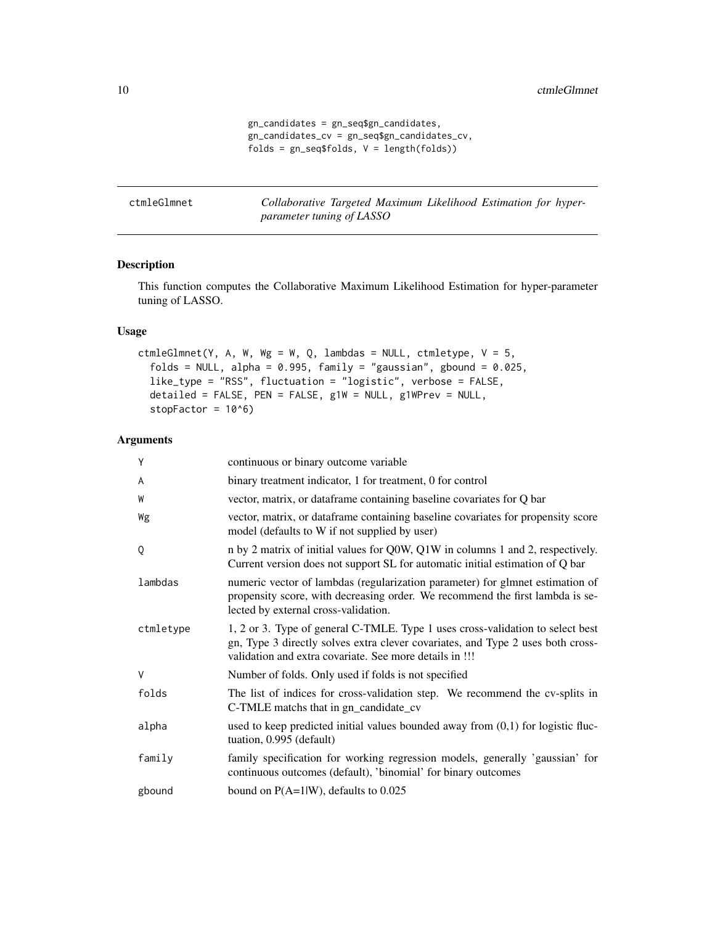```
gn_candidates = gn_seq$gn_candidates,
gn_candidates_cv = gn_seq$gn_candidates_cv,
folds = gn_seq$folds, V = length(folds))
```
<span id="page-9-0"></span>ctmleGlmnet *Collaborative Targeted Maximum Likelihood Estimation for hyperparameter tuning of LASSO*

### Description

This function computes the Collaborative Maximum Likelihood Estimation for hyper-parameter tuning of LASSO.

# Usage

ctmleGlmnet(Y, A, W, Wg = W, Q, lambdas = NULL, ctmletype,  $V = 5$ , folds = NULL, alpha =  $0.995$ , family = "gaussian", gbound =  $0.025$ , like\_type = "RSS", fluctuation = "logistic", verbose = FALSE, detailed = FALSE, PEN = FALSE, g1W = NULL, g1WPrev = NULL, stopFactor =  $10<sup>6</sup>$ )

#### Arguments

| Υ         | continuous or binary outcome variable                                                                                                                                                                                        |
|-----------|------------------------------------------------------------------------------------------------------------------------------------------------------------------------------------------------------------------------------|
| A         | binary treatment indicator, 1 for treatment, 0 for control                                                                                                                                                                   |
| W         | vector, matrix, or dataframe containing baseline covariates for Q bar                                                                                                                                                        |
| Wg        | vector, matrix, or dataframe containing baseline covariates for propensity score<br>model (defaults to W if not supplied by user)                                                                                            |
| Q         | n by 2 matrix of initial values for Q0W, Q1W in columns 1 and 2, respectively.<br>Current version does not support SL for automatic initial estimation of Q bar                                                              |
| lambdas   | numeric vector of lambdas (regularization parameter) for glmnet estimation of<br>propensity score, with decreasing order. We recommend the first lambda is se-<br>lected by external cross-validation.                       |
| ctmletype | 1, 2 or 3. Type of general C-TMLE. Type 1 uses cross-validation to select best<br>gn, Type 3 directly solves extra clever covariates, and Type 2 uses both cross-<br>validation and extra covariate. See more details in !!! |
| V         | Number of folds. Only used if folds is not specified                                                                                                                                                                         |
| folds     | The list of indices for cross-validation step. We recommend the cv-splits in<br>C-TMLE matchs that in gn_candidate_cv                                                                                                        |
| alpha     | used to keep predicted initial values bounded away from $(0,1)$ for logistic fluc-<br>tuation, 0.995 (default)                                                                                                               |
| family    | family specification for working regression models, generally 'gaussian' for<br>continuous outcomes (default), 'binomial' for binary outcomes                                                                                |
| gbound    | bound on $P(A=1 W)$ , defaults to 0.025                                                                                                                                                                                      |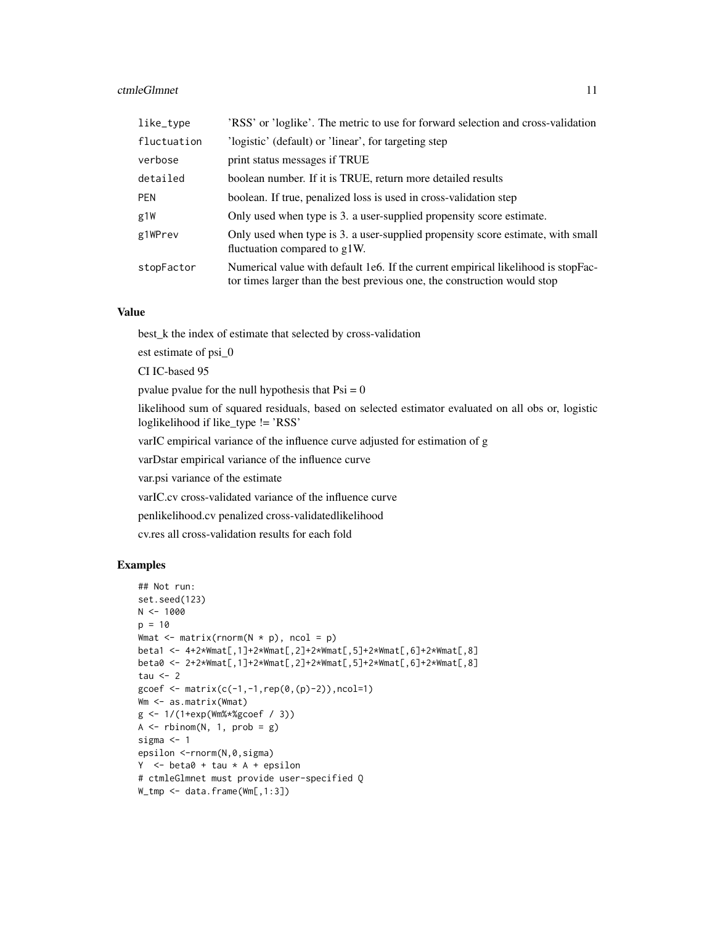#### ctmleGlmnet 11

| like_type   | 'RSS' or 'loglike'. The metric to use for forward selection and cross-validation                                                                              |
|-------------|---------------------------------------------------------------------------------------------------------------------------------------------------------------|
| fluctuation | 'logistic' (default) or 'linear', for targeting step                                                                                                          |
| verbose     | print status messages if TRUE                                                                                                                                 |
| detailed    | boolean number. If it is TRUE, return more detailed results                                                                                                   |
| <b>PEN</b>  | boolean. If true, penalized loss is used in cross-validation step                                                                                             |
| g1W         | Only used when type is 3. a user-supplied propensity score estimate.                                                                                          |
| g1WPrev     | Only used when type is 3. a user-supplied propensity score estimate, with small<br>fluctuation compared to g1W.                                               |
| stopFactor  | Numerical value with default 1e6. If the current empirical likelihood is stopFac-<br>tor times larger than the best previous one, the construction would stop |

# Value

best\_k the index of estimate that selected by cross-validation

est estimate of psi\_0

CI IC-based 95

pvalue pvalue for the null hypothesis that  $Psi = 0$ 

likelihood sum of squared residuals, based on selected estimator evaluated on all obs or, logistic loglikelihood if like\_type != 'RSS'

varIC empirical variance of the influence curve adjusted for estimation of g

varDstar empirical variance of the influence curve

var.psi variance of the estimate

varIC.cv cross-validated variance of the influence curve

penlikelihood.cv penalized cross-validatedlikelihood

cv.res all cross-validation results for each fold

```
## Not run:
set.seed(123)
N < - 1000p = 10Wmat \leq matrix(rnorm(N * p), ncol = p)
beta1 <- 4+2*Wmat[,1]+2*Wmat[,2]+2*Wmat[,5]+2*Wmat[,6]+2*Wmat[,8]
beta0 <- 2+2*Wmat[,1]+2*Wmat[,2]+2*Wmat[,5]+2*Wmat[,6]+2*Wmat[,8]
tau <-2gcoef <- matrix(c(-1, -1, rep(0, (p)-2)), ncol=1)
Wm <- as.matrix(Wmat)
g <- 1/(1+exp(Wm%*%gcoef / 3))
A \leq -rbinom(N, 1, prob = g)sigma <-1epsilon <-rnorm(N,0,sigma)
Y \le - \beta + \alpha + tau * A + epsilon
# ctmleGlmnet must provide user-specified Q
W_tmp <- data.frame(Wm[,1:3])
```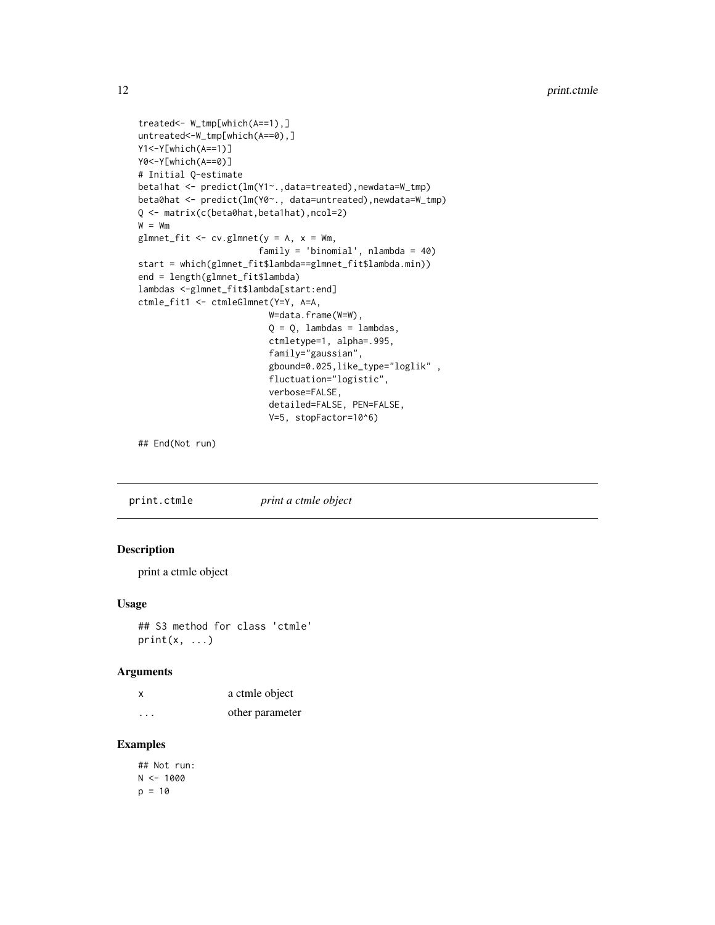```
treated<- W_tmp[which(A==1),]
untreated<-W_tmp[which(A==0),]
Y1<-Y[which(A==1)]
Y0<-Y[which(A==0)]
# Initial Q-estimate
beta1hat <- predict(lm(Y1~.,data=treated),newdata=W_tmp)
beta0hat <- predict(lm(Y0~., data=untreated),newdata=W_tmp)
Q <- matrix(c(beta0hat,beta1hat),ncol=2)
W = Wmglmnet_fit <- cv.glmnet(y = A, x = Wm,family = 'binomial', nlambda = 40)
start = which(glmnet_fit$lambda==glmnet_fit$lambda.min))
end = length(glmnet_fit$lambda)
lambdas <-glmnet_fit$lambda[start:end]
ctmle_fit1 <- ctmleGlmnet(Y=Y, A=A,
                         W=data.frame(W=W),
                         Q = Q, lambdas = lambdas,
                         ctmletype=1, alpha=.995,
                         family="gaussian",
                         gbound=0.025,like_type="loglik" ,
                         fluctuation="logistic",
                         verbose=FALSE,
                         detailed=FALSE, PEN=FALSE,
                         V=5, stopFactor=10^6)
```
## End(Not run)

print.ctmle *print a ctmle object*

# Description

print a ctmle object

# Usage

## S3 method for class 'ctmle'  $print(x, \ldots)$ 

#### Arguments

| x                       | a ctmle object  |
|-------------------------|-----------------|
| $\cdot$ $\cdot$ $\cdot$ | other parameter |

# Examples

## Not run:  $N < - 1000$  $p = 10$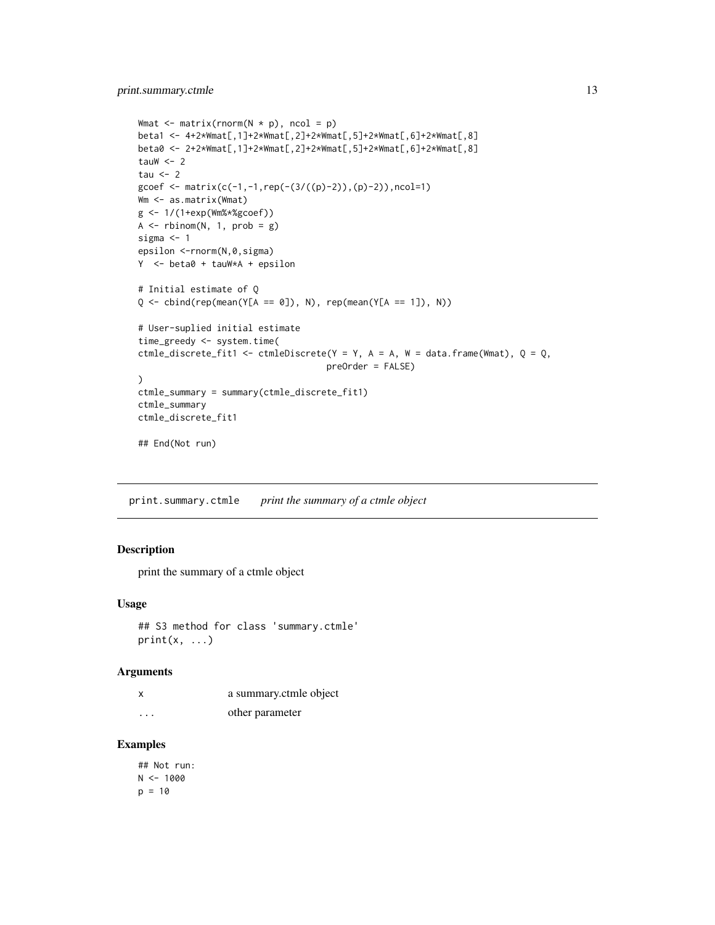```
Wmat \leq matrix(rnorm(N \star p), ncol = p)
beta1 <- 4+2*Wmat[,1]+2*Wmat[,2]+2*Wmat[,5]+2*Wmat[,6]+2*Wmat[,8]
beta0 <- 2+2*Wmat[,1]+2*Wmat[,2]+2*Wmat[,5]+2*Wmat[,6]+2*Wmat[,8]
tauW <-2tau <-2gcoef <- matrix(c(-1,-1,rep(-(3/((p)-2)),(p)-2)),ncol=1)
Wm <- as.matrix(Wmat)
g <- 1/(1+exp(Wm%*%gcoef))
A \leftarrow \text{rbinom}(N, 1, \text{prob} = g)sigma <- 1
epsilon <-rnorm(N,0,sigma)
Y <- beta0 + tauW*A + epsilon
# Initial estimate of Q
Q \leftarrow \text{cbind}(\text{rep}(\text{mean}(Y[A == 0]), N), \text{rep}(\text{mean}(Y[A == 1]), N))# User-suplied initial estimate
time_greedy <- system.time(
ctmle_discrete_fit1 <- ctmleDiscrete(Y = Y, A = A, W = data.frame(Wmat), Q = Q,
                                       preOrder = FALSE)
\lambdactmle_summary = summary(ctmle_discrete_fit1)
ctmle_summary
ctmle_discrete_fit1
## End(Not run)
```
print.summary.ctmle *print the summary of a ctmle object*

#### Description

print the summary of a ctmle object

#### Usage

```
## S3 method for class 'summary.ctmle'
print(x, \ldots)
```
#### Arguments

| X        | a summary.ctmle object |
|----------|------------------------|
| $\cdots$ | other parameter        |

# Examples

## Not run:  $N < - 1000$  $p = 10$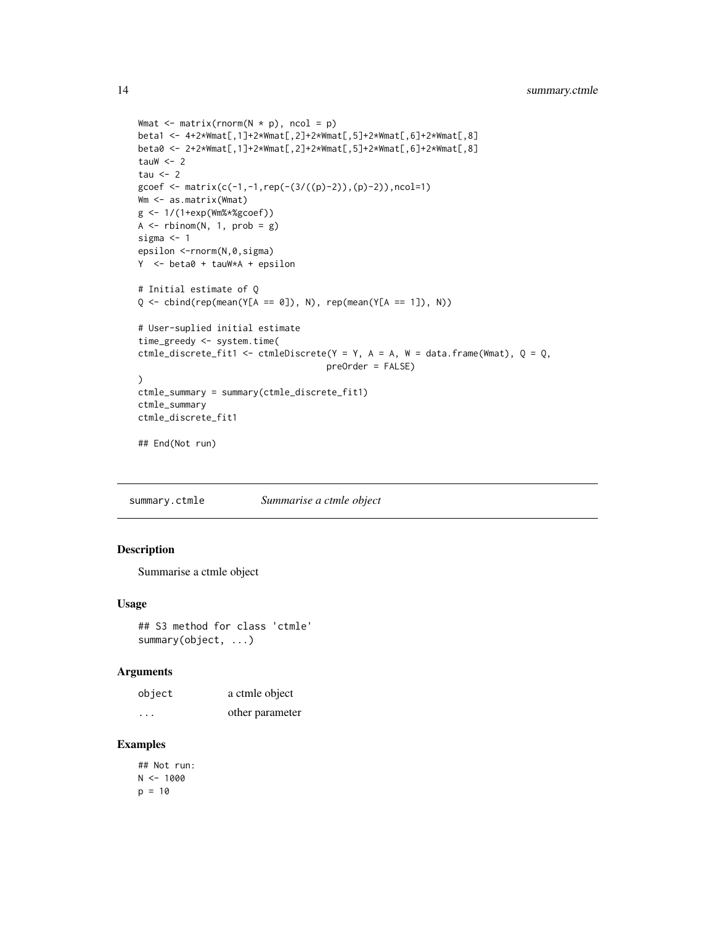```
Wmat \leq matrix(rnorm(N \star p), ncol = p)
beta1 <- 4+2*Wmat[,1]+2*Wmat[,2]+2*Wmat[,5]+2*Wmat[,6]+2*Wmat[,8]
beta0 <- 2+2*Wmat[,1]+2*Wmat[,2]+2*Wmat[,5]+2*Wmat[,6]+2*Wmat[,8]
tauW <-2tau <-2gcoef <- matrix(c(-1,-1, rep(-(3/((p)-2)),(p)-2)), ncol=1)
Wm <- as.matrix(Wmat)
g <- 1/(1+exp(Wm%*%gcoef))
A \leftarrow \text{rbinom}(N, 1, \text{prob} = g)sigma <- 1
epsilon <-rnorm(N,0,sigma)
Y <- beta0 + tauW*A + epsilon
# Initial estimate of Q
Q \leftarrow \text{cbind}(\text{rep}(\text{mean}(Y[A == 0]), N), \text{rep}(\text{mean}(Y[A == 1]), N))# User-suplied initial estimate
time_greedy <- system.time(
ctmle_discrete_fit1 <- ctmleDiscrete(Y = Y, A = A, W = data.frame(Wmat), Q = Q,
                                       preOrder = FALSE)
\lambdactmle_summary = summary(ctmle_discrete_fit1)
ctmle_summary
ctmle_discrete_fit1
## End(Not run)
```
summary.ctmle *Summarise a ctmle object*

# Description

Summarise a ctmle object

#### Usage

```
## S3 method for class 'ctmle'
summary(object, ...)
```
#### Arguments

| object                  | a ctmle object  |
|-------------------------|-----------------|
| $\cdot$ $\cdot$ $\cdot$ | other parameter |

# Examples

## Not run:  $N < - 1000$  $p = 10$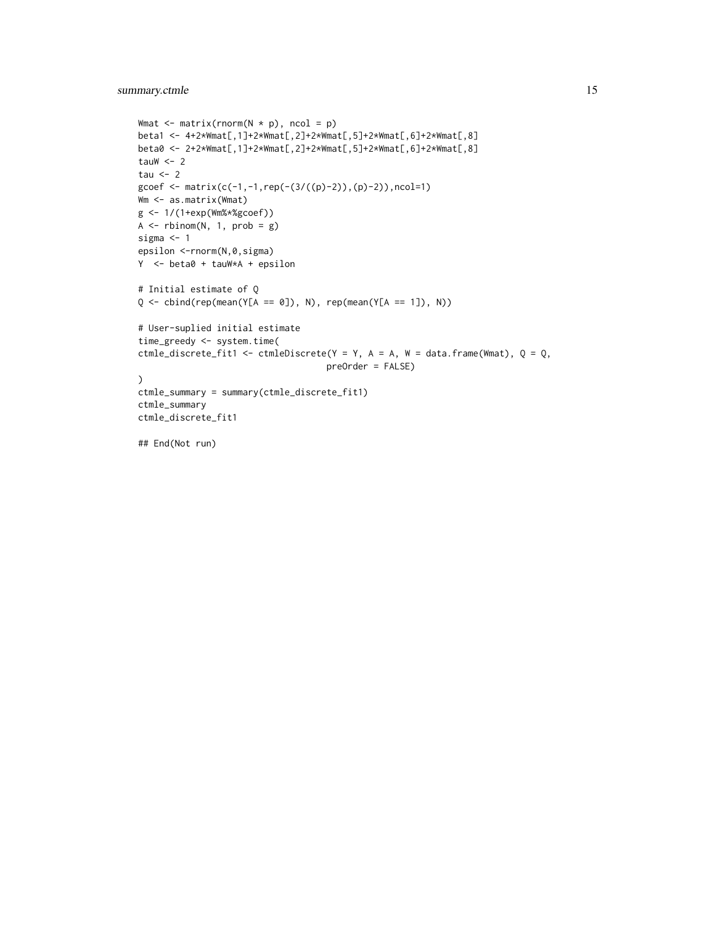# summary.ctmle 15

```
Wmat \leq matrix(rnorm(N \star p), ncol = p)
beta1 <- 4+2*Wmat[,1]+2*Wmat[,2]+2*Wmat[,5]+2*Wmat[,6]+2*Wmat[,8]
beta0 <- 2+2*Wmat[,1]+2*Wmat[,2]+2*Wmat[,5]+2*Wmat[,6]+2*Wmat[,8]
tauW <-2tau <-2gcoef <- matrix(c(-1,-1, rep(-(3/((p)-2)),(p)-2)), ncol=1)
Wm <- as.matrix(Wmat)
g <- 1/(1+exp(Wm%*%gcoef))
A \leftarrow \text{rbinom}(N, 1, \text{prob} = g)sigma <- 1
epsilon <-rnorm(N,0,sigma)
Y <- beta0 + tauW*A + epsilon
# Initial estimate of Q
Q \le cbind(rep(mean(Y[A == 0]), N), rep(mean(Y[A == 1]), N))
# User-suplied initial estimate
time_greedy <- system.time(
ctmle_discrete_fit1 <- ctmleDiscrete(Y = Y, A = A, W = data.frame(Wmat), Q = Q,
                                     preOrder = FALSE)
\lambdactmle_summary = summary(ctmle_discrete_fit1)
ctmle_summary
ctmle_discrete_fit1
```
## End(Not run)